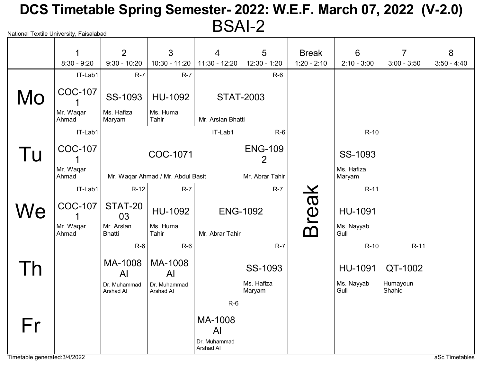# National Textile University, Faisalabad DCS Timetable Spring Semester- 2022: W.E.F. March 07, 2022 (V-2.0) BSAI-2

|    | 1<br>$8:30 - 9:20$ | 2<br>$9:30 - 10:20$         | 3<br>$10:30 - 11:20$              | 4<br>11:30 - 12:20        | 5<br>12:30 - 1:20                | <b>Break</b><br>$1:20 - 2:10$ | 6<br>$2:10 - 3:00$   | $\overline{7}$<br>$3:00 - 3:50$ | 8<br>$3:50 - 4:40$ |
|----|--------------------|-----------------------------|-----------------------------------|---------------------------|----------------------------------|-------------------------------|----------------------|---------------------------------|--------------------|
|    | IT-Lab1            | $R-7$                       | $R-7$                             |                           | $R-6$                            |                               |                      |                                 |                    |
| Mo | <b>COC-107</b>     | SS-1093                     | HU-1092                           | <b>STAT-2003</b>          |                                  |                               |                      |                                 |                    |
|    | Mr. Waqar<br>Ahmad | Ms. Hafiza<br>Maryam        | Ms. Huma<br>Tahir                 | Mr. Arslan Bhatti         |                                  |                               |                      |                                 |                    |
|    | IT-Lab1            |                             |                                   | IT-Lab1                   | $R-6$                            |                               | $R-10$               |                                 |                    |
| Tu | <b>COC-107</b>     |                             | COC-1071                          |                           | <b>ENG-109</b><br>$\overline{2}$ |                               | SS-1093              |                                 |                    |
|    | Mr. Waqar<br>Ahmad |                             | Mr. Waqar Ahmad / Mr. Abdul Basit |                           | Mr. Abrar Tahir                  |                               | Ms. Hafiza<br>Maryam |                                 |                    |
|    | IT-Lab1            | $R-12$                      | $R-7$                             |                           | $R-7$                            |                               | $R-11$               |                                 |                    |
| We | <b>COC-107</b>     | STAT-20<br>03               | HU-1092                           |                           | <b>ENG-1092</b>                  | <b>Break</b>                  | HU-1091              |                                 |                    |
|    | Mr. Wagar<br>Ahmad | Mr. Arslan<br><b>Bhatti</b> | Ms. Huma<br>Tahir                 | Mr. Abrar Tahir           |                                  |                               | Ms. Nayyab<br>Gull   |                                 |                    |
|    |                    | $R-6$                       | $R-6$                             |                           | $R-7$                            |                               | $R-10$               | $R-11$                          |                    |
|    |                    | MA-1008<br>AI               | MA-1008<br>AI                     |                           | SS-1093                          |                               | HU-1091              | QT-1002                         |                    |
|    |                    | Dr. Muhammad<br>Arshad Al   | Dr. Muhammad<br>Arshad Al         |                           | Ms. Hafiza<br>Maryam             |                               | Ms. Nayyab<br>Gull   | Humayoun<br>Shahid              |                    |
|    |                    |                             |                                   | $R-6$                     |                                  |                               |                      |                                 |                    |
| Fr |                    |                             |                                   | MA-1008<br>AI             |                                  |                               |                      |                                 |                    |
|    |                    |                             |                                   | Dr. Muhammad<br>Arshad AI |                                  |                               |                      |                                 |                    |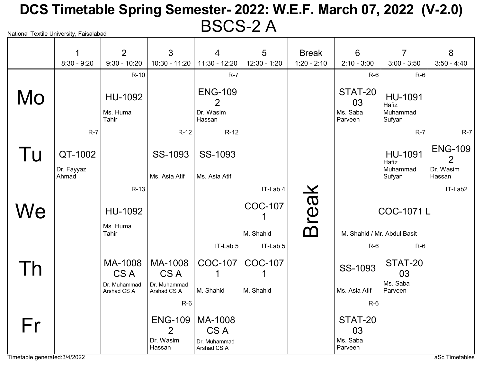# National Textile University, Faisalabad DCS Timetable Spring Semester- 2022: W.E.F. March 07, 2022 (V-2.0) BSCS-2 A

|    | $\mathbf 1$           | 2                            | 3                                             | 4                                          | 5              | <b>Break</b>  | 6                                    | $\overline{7}$                         | 8                                             |
|----|-----------------------|------------------------------|-----------------------------------------------|--------------------------------------------|----------------|---------------|--------------------------------------|----------------------------------------|-----------------------------------------------|
|    | $8:30 - 9:20$         | $9:30 - 10:20$               | $10:30 - 11:20$                               | 11:30 - 12:20                              | 12:30 - 1:20   | $1:20 - 2:10$ | $2:10 - 3:00$                        | $3:00 - 3:50$                          | $3:50 - 4:40$                                 |
|    |                       | $R-10$                       |                                               | $R-7$                                      |                |               | $R-6$                                | $R-6$                                  |                                               |
| Mo |                       | HU-1092<br>Ms. Huma<br>Tahir |                                               | <b>ENG-109</b><br>2<br>Dr. Wasim<br>Hassan |                |               | STAT-20<br>03<br>Ms. Saba<br>Parveen | HU-1091<br>Hafiz<br>Muhammad<br>Sufyan |                                               |
|    | $R-7$                 |                              | $R-12$                                        | $R-12$                                     |                |               |                                      | $R-7$                                  | $R-7$                                         |
| Tu | QT-1002<br>Dr. Fayyaz |                              | SS-1093                                       | SS-1093                                    |                |               |                                      | <b>HU-1091</b><br>Hafiz<br>Muhammad    | <b>ENG-109</b><br>$\overline{2}$<br>Dr. Wasim |
|    | Ahmad                 |                              | Ms. Asia Atif                                 | Ms. Asia Atif                              |                |               |                                      | Sufyan                                 | Hassan                                        |
|    |                       | R-13                         |                                               |                                            | IT-Lab 4       |               |                                      |                                        | IT-Lab2                                       |
| We |                       | HU-1092                      |                                               |                                            | <b>COC-107</b> | <b>Break</b>  |                                      | COC-1071L                              |                                               |
|    |                       | Ms. Huma<br>Tahir            |                                               |                                            | M. Shahid      |               | M. Shahid / Mr. Abdul Basit          |                                        |                                               |
|    |                       |                              |                                               | IT-Lab 5                                   | IT-Lab 5       |               | $R-6$                                | $R-6$                                  |                                               |
| h  |                       | MA-1008<br>CS A              | MA-1008<br>CS A                               | <b>COC-107</b><br>1                        | <b>COC-107</b> |               | SS-1093                              | STAT-20<br>03                          |                                               |
|    |                       | Dr. Muhammad<br>Arshad CS A  | Dr. Muhammad<br>Arshad CS A                   | M. Shahid                                  | M. Shahid      |               | Ms. Asia Atif                        | Ms. Saba<br>Parveen                    |                                               |
|    |                       |                              | $R-6$                                         |                                            |                |               | $R-6$                                |                                        |                                               |
| Fr |                       |                              | <b>ENG-109</b><br>$\overline{2}$<br>Dr. Wasim | MA-1008<br>CS A<br>Dr. Muhammad            |                |               | STAT-20<br>03<br>Ms. Saba            |                                        |                                               |
|    |                       |                              | Hassan                                        | Arshad CS A                                |                |               | Parveen                              |                                        |                                               |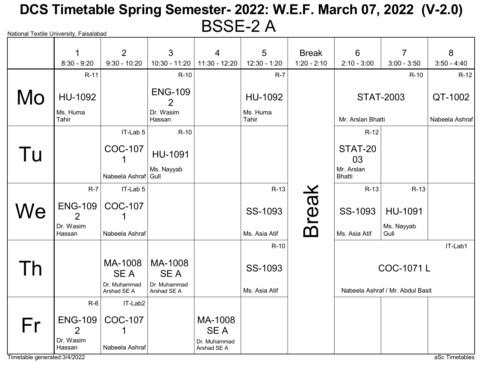# National Textile University, Faisalabad DCS Timetable Spring Semester- 2022: W.E.F. March 07, 2022 (V-2.0) BSSE-2 A

|                               | 1                   | $\overline{2}$              | 3                           | $\overline{4}$              | 5                 | <b>Break</b>  | 6                           | 7                                | 8              |
|-------------------------------|---------------------|-----------------------------|-----------------------------|-----------------------------|-------------------|---------------|-----------------------------|----------------------------------|----------------|
|                               | $8:30 - 9:20$       | $9:30 - 10:20$              | $10:30 - 11:20$             | $11:30 - 12:20$             | $12:30 - 1:20$    | $1:20 - 2:10$ | $2:10 - 3:00$               | $3:00 - 3:50$                    | $3:50 - 4:40$  |
|                               | $R-11$              |                             | $R-10$                      |                             | $R-7$             |               |                             | $R-10$                           | $R-12$         |
| Mo                            | HU-1092             |                             | <b>ENG-109</b><br>2         |                             | HU-1092           |               |                             | <b>STAT-2003</b>                 | QT-1002        |
|                               | Ms. Huma<br>Tahir   |                             | Dr. Wasim<br>Hassan         |                             | Ms. Huma<br>Tahir |               | Mr. Arslan Bhatti           |                                  | Nabeela Ashraf |
|                               |                     | IT-Lab 5                    | $R-10$                      |                             |                   |               | $R-12$                      |                                  |                |
| Tu                            |                     | <b>COC-107</b>              | HU-1091                     |                             |                   |               | STAT-20<br>03               |                                  |                |
|                               |                     | Nabeela Ashraf Gull         | Ms. Nayyab                  |                             |                   |               | Mr. Arslan<br><b>Bhatti</b> |                                  |                |
|                               | $R-7$               | IT-Lab 5                    |                             |                             | $R-13$            |               | $R-13$                      | R-13                             |                |
| We                            | <b>ENG-109</b><br>2 | <b>COC-107</b>              |                             |                             | SS-1093           | reak          | SS-1093                     | HU-1091                          |                |
|                               | Dr. Wasim<br>Hassan | Nabeela Ashraf              |                             |                             | Ms. Asia Atif     | ന             | Ms. Asia Atif               | Ms. Nayyab<br>Gull               |                |
|                               |                     |                             |                             |                             | $R-10$            |               |                             |                                  | IT-Lab1        |
|                               |                     | MA-1008<br><b>SEA</b>       | MA-1008<br><b>SEA</b>       |                             | SS-1093           |               |                             | COC-1071L                        |                |
|                               |                     | Dr. Muhammad<br>Arshad SE A | Dr. Muhammad<br>Arshad SE A |                             | Ms. Asia Atif     |               |                             | Nabeela Ashraf / Mr. Abdul Basit |                |
|                               | $R-6$               | IT-Lab2                     |                             |                             |                   |               |                             |                                  |                |
| Fr                            | $ENG-109$<br>2      | <b>COC-107</b>              |                             | MA-1008<br>SE A             |                   |               |                             |                                  |                |
| Timetable generated: 3/4/2022 | Dr. Wasim<br>Hassan | Nabeela Ashraf              |                             | Dr. Muhammad<br>Arshad SE A |                   |               |                             |                                  | aSc Timetables |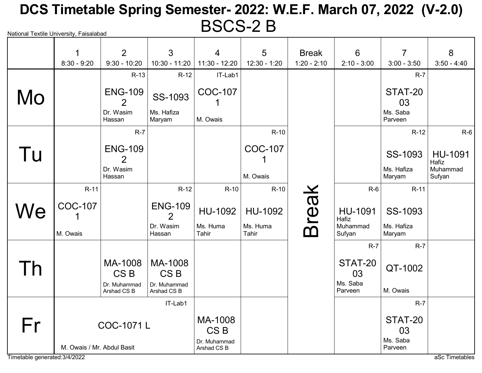# National Textile University, Faisalabad DCS Timetable Spring Semester- 2022: W.E.F. March 07, 2022 (V-2.0) BSCS-2 B

|    | $\mathbf 1$      | $\overline{2}$                   | 3                                | 4                          | 5                 | <b>Break</b>  | 6                   | $\overline{7}$       | 8                  |
|----|------------------|----------------------------------|----------------------------------|----------------------------|-------------------|---------------|---------------------|----------------------|--------------------|
|    | $8:30 - 9:20$    | $9:30 - 10:20$                   | $10:30 - 11:20$                  | 11:30 - 12:20              | $12:30 - 1:20$    | $1:20 - 2:10$ | $2:10 - 3:00$       | $3:00 - 3:50$        | $3:50 - 4:40$      |
|    |                  | $R-13$                           | $R-12$                           | IT-Lab1                    |                   |               |                     | $R-7$                |                    |
| Mo |                  | <b>ENG-109</b><br>$\overline{2}$ | SS-1093                          | <b>COC-107</b>             |                   |               |                     | STAT-20<br>03        |                    |
|    |                  | Dr. Wasim<br>Hassan              | Ms. Hafiza<br>Maryam             | M. Owais                   |                   |               |                     | Ms. Saba<br>Parveen  |                    |
|    |                  | $R-7$                            |                                  |                            | $R-10$            |               |                     | $R-12$               | $R-6$              |
| Tu |                  | <b>ENG-109</b><br>$\overline{2}$ |                                  |                            | <b>COC-107</b>    |               |                     | SS-1093              | HU-1091<br>Hafiz   |
|    |                  | Dr. Wasim<br>Hassan              |                                  |                            | M. Owais          |               |                     | Ms. Hafiza<br>Maryam | Muhammad<br>Sufyan |
|    | $R-11$           |                                  | $R-12$                           | $R-10$                     | $R-10$            |               | $R-6$               | $R-11$               |                    |
| We | <b>COC-107</b>   |                                  | <b>ENG-109</b><br>$\overline{2}$ | <b>HU-1092</b>             | HU-1092           | reak          | HU-1091<br>Hafiz    | SS-1093              |                    |
|    | M. Owais         |                                  | Dr. Wasim<br>Hassan              | Ms. Huma<br>Tahir          | Ms. Huma<br>Tahir | ന             | Muhammad<br>Sufyan  | Ms. Hafiza<br>Maryam |                    |
|    |                  |                                  |                                  |                            |                   |               | $R-7$               | $R-7$                |                    |
| Γh |                  | MA-1008<br>CS <sub>B</sub>       | MA-1008<br>CS <sub>B</sub>       |                            |                   |               | STAT-20<br>03       | QT-1002              |                    |
|    |                  | Dr. Muhammad<br>Arshad CS B      | Dr. Muhammad<br>Arshad CS B      |                            |                   |               | Ms. Saba<br>Parveen | M. Owais             |                    |
|    |                  |                                  | IT-Lab1                          |                            |                   |               |                     | $R-7$                |                    |
| Fr | <b>COC-1071L</b> |                                  |                                  | MA-1008<br>CS <sub>B</sub> |                   |               |                     | STAT-20<br>03        |                    |
|    |                  | M. Owais / Mr. Abdul Basit       |                                  |                            |                   |               |                     | Ms. Saba<br>Parveen  |                    |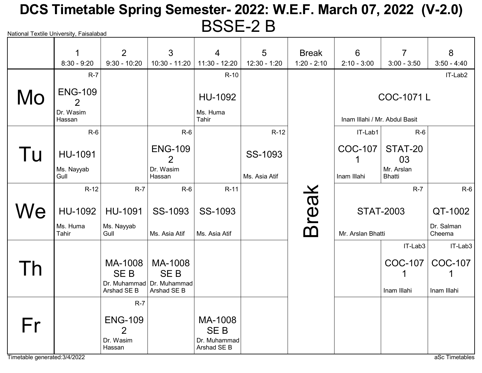# National Textile University, Faisalabad DCS Timetable Spring Semester- 2022: W.E.F. March 07, 2022 (V-2.0) BSSE-2 B

|     | 1                                          | 2                                                       | 3                                             | $\overline{4}$                                       | 5             | <b>Break</b>  | 6                             | $\overline{7}$              | 8                    |
|-----|--------------------------------------------|---------------------------------------------------------|-----------------------------------------------|------------------------------------------------------|---------------|---------------|-------------------------------|-----------------------------|----------------------|
|     | $8:30 - 9:20$                              | $9:30 - 10:20$                                          | $10:30 - 11:20$                               | $11:30 - 12:20$                                      | 12:30 - 1:20  | $1:20 - 2:10$ | $2:10 - 3:00$                 | $3:00 - 3:50$               | $3:50 - 4:40$        |
|     | $R-7$                                      |                                                         |                                               | $R-10$                                               |               |               |                               |                             | IT-Lab2              |
| Mo  | <b>ENG-109</b><br>2<br>Dr. Wasim<br>Hassan |                                                         |                                               | HU-1092<br>Ms. Huma<br>Tahir                         |               |               | Inam Illahi / Mr. Abdul Basit | COC-1071L                   |                      |
|     | $R-6$                                      |                                                         | $R-6$                                         |                                                      | $R-12$        |               | IT-Lab1                       | $R-6$                       |                      |
| Tu  | HU-1091<br>Ms. Nayyab                      |                                                         | <b>ENG-109</b><br>$\overline{2}$<br>Dr. Wasim |                                                      | SS-1093       |               | <b>COC-107</b>                | STAT-20<br>03<br>Mr. Arslan |                      |
|     | Gull                                       |                                                         | Hassan                                        |                                                      | Ms. Asia Atif |               | Inam Illahi                   | <b>Bhatti</b>               |                      |
|     | $R-12$                                     | $R-7$                                                   | $R-6$                                         | $R-11$                                               |               |               |                               | $R-7$                       | $R-6$                |
| We  | <b>HU-1092</b>                             | <b>HU-1091</b>                                          | SS-1093                                       | SS-1093                                              |               | <b>Break</b>  |                               | <b>STAT-2003</b>            | QT-1002              |
|     | Ms. Huma<br>Tahir                          | Ms. Nayyab<br>Gull                                      | Ms. Asia Atif                                 | Ms. Asia Atif                                        |               |               | Mr. Arslan Bhatti             |                             | Dr. Salman<br>Cheema |
|     |                                            |                                                         |                                               |                                                      |               |               |                               | IT-Lab3                     | IT-Lab3              |
| l h |                                            | MA-1008<br><b>SEB</b>                                   | MA-1008<br><b>SEB</b>                         |                                                      |               |               |                               | <b>COC-107</b>              | <b>COC-107</b>       |
|     |                                            | Arshad SE B                                             | Dr. Muhammad Dr. Muhammad<br>Arshad SE B      |                                                      |               |               |                               | Inam Illahi                 | Inam Illahi          |
|     |                                            | $R-7$                                                   |                                               |                                                      |               |               |                               |                             |                      |
| Fr  |                                            | <b>ENG-109</b><br>$\overline{2}$<br>Dr. Wasim<br>Hassan |                                               | MA-1008<br><b>SEB</b><br>Dr. Muhammad<br>Arshad SE B |               |               |                               |                             |                      |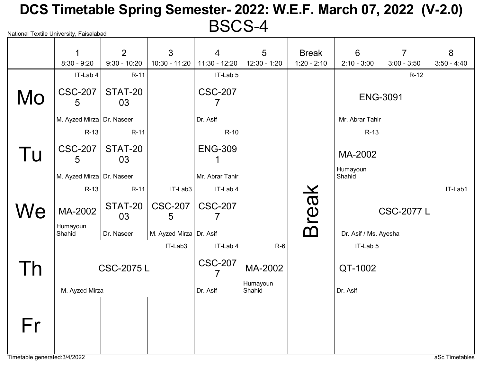# National Textile University, Faisalabad DCS Timetable Spring Semester- 2022: W.E.F. March 07, 2022 (V-2.0) BSCS-4

|             | 1<br>$8:30 - 9:20$        | $\overline{2}$<br>$9:30 - 10:20$ | 3<br>$10:30 - 11:20$    | $\overline{4}$<br>$11:30 - 12:20$ | 5<br>$12:30 - 1:20$ | <b>Break</b><br>$1:20 - 2:10$ | 6<br>$2:10 - 3:00$    | $\overline{7}$<br>$3:00 - 3:50$ | 8<br>$3:50 - 4:40$ |
|-------------|---------------------------|----------------------------------|-------------------------|-----------------------------------|---------------------|-------------------------------|-----------------------|---------------------------------|--------------------|
|             | IT-Lab 4                  | $R-11$                           |                         | IT-Lab 5                          |                     |                               |                       | $R-12$                          |                    |
| Mo          | <b>CSC-207</b><br>5       | STAT-20<br>03                    |                         | <b>CSC-207</b>                    |                     |                               | <b>ENG-3091</b>       |                                 |                    |
|             | M. Ayzed Mirza Dr. Naseer |                                  |                         | Dr. Asif                          |                     |                               | Mr. Abrar Tahir       |                                 |                    |
|             | $R-13$                    | $R-11$                           |                         | $R-10$                            |                     |                               | $R-13$                |                                 |                    |
| Tu          | <b>CSC-207</b><br>5       | STAT-20<br>03                    |                         | <b>ENG-309</b>                    |                     |                               | MA-2002               |                                 |                    |
|             | M. Ayzed Mirza Dr. Naseer |                                  |                         | Mr. Abrar Tahir                   |                     |                               | Humayoun<br>Shahid    |                                 |                    |
|             | $R-13$                    | $R-11$                           | IT-Lab3                 | IT-Lab 4                          |                     |                               |                       |                                 | IT-Lab1            |
| We          | MA-2002                   | STAT-20<br>03                    | <b>CSC-207</b><br>5     | <b>CSC-207</b><br>7               |                     | <b>Break</b>                  |                       | <b>CSC-2077 L</b>               |                    |
|             | Humayoun<br>Shahid        | Dr. Naseer                       | M. Ayzed Mirza Dr. Asif |                                   |                     |                               | Dr. Asif / Ms. Ayesha |                                 |                    |
|             |                           |                                  | IT-Lab3                 | IT-Lab 4                          | $R-6$               |                               | IT-Lab 5              |                                 |                    |
| $\cdot$ $h$ |                           | <b>CSC-2075L</b>                 |                         | <b>CSC-207</b>                    | MA-2002             |                               | QT-1002               |                                 |                    |
|             | M. Ayzed Mirza            |                                  |                         | Dr. Asif                          | Humayoun<br>Shahid  |                               | Dr. Asif              |                                 |                    |
| Fr          |                           |                                  |                         |                                   |                     |                               |                       |                                 |                    |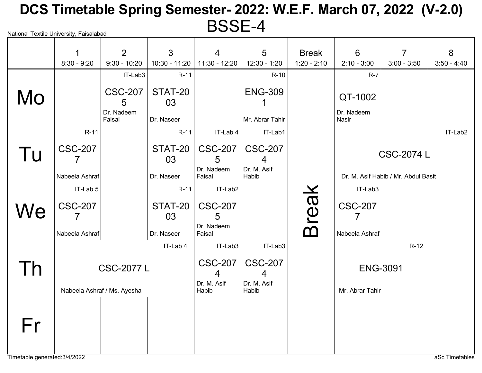# National Textile University, Faisalabad DCS Timetable Spring Semester- 2022: W.E.F. March 07, 2022 (V-2.0) BSSE-4

|                               | 1              | 2                                 | 3               | $\overline{4}$       | 5                    | <b>Break</b>  | 6                     | $\overline{7}$                      | 8              |
|-------------------------------|----------------|-----------------------------------|-----------------|----------------------|----------------------|---------------|-----------------------|-------------------------------------|----------------|
|                               | $8:30 - 9:20$  | $9:30 - 10:20$                    | $10:30 - 11:20$ | $11:30 - 12:20$      | $12:30 - 1:20$       | $1:20 - 2:10$ | $2:10 - 3:00$         | $3:00 - 3:50$                       | $3:50 - 4:40$  |
|                               |                | IT-Lab3                           | $R-11$          |                      | $R-10$               |               | $R-7$                 |                                     |                |
| Mo                            |                | <b>CSC-207</b><br>5<br>Dr. Nadeem | STAT-20<br>03   |                      | <b>ENG-309</b>       |               | QT-1002<br>Dr. Nadeem |                                     |                |
|                               |                | Faisal                            | Dr. Naseer      |                      | Mr. Abrar Tahir      |               | Nasir                 |                                     |                |
|                               | $R-11$         |                                   | $R-11$          | IT-Lab 4             | IT-Lab1              |               |                       |                                     | IT-Lab2        |
| l u                           | <b>CSC-207</b> |                                   | STAT-20<br>03   | <b>CSC-207</b><br>5  | <b>CSC-207</b>       |               |                       | <b>CSC-2074 L</b>                   |                |
|                               | Nabeela Ashraf |                                   | Dr. Naseer      | Dr. Nadeem<br>Faisal | Dr. M. Asif<br>Habib |               |                       | Dr. M. Asif Habib / Mr. Abdul Basit |                |
|                               | IT-Lab 5       |                                   | $R-11$          | IT-Lab2              |                      |               | IT-Lab3               |                                     |                |
| We                            | <b>CSC-207</b> |                                   | STAT-20<br>03   | <b>CSC-207</b><br>5  |                      | <b>Break</b>  | <b>CSC-207</b>        |                                     |                |
|                               | Nabeela Ashraf |                                   | Dr. Naseer      | Dr. Nadeem<br>Faisal |                      |               | Nabeela Ashraf        |                                     |                |
|                               |                |                                   | IT-Lab 4        | IT-Lab3              | IT-Lab3              |               |                       | $R-12$                              |                |
|                               |                | <b>CSC-2077 L</b>                 |                 | <b>CSC-207</b><br>4  | <b>CSC-207</b><br>4  |               | <b>ENG-3091</b>       |                                     |                |
|                               |                | Nabeela Ashraf / Ms. Ayesha       |                 | Dr. M. Asif<br>Habib | Dr. M. Asif<br>Habib |               | Mr. Abrar Tahir       |                                     |                |
|                               |                |                                   |                 |                      |                      |               |                       |                                     |                |
| Fr                            |                |                                   |                 |                      |                      |               |                       |                                     |                |
|                               |                |                                   |                 |                      |                      |               |                       |                                     |                |
| Timetable generated: 3/4/2022 |                |                                   |                 |                      |                      |               |                       |                                     | aSc Timetables |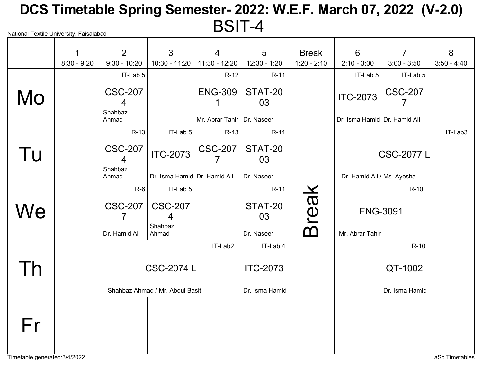# National Textile University, Faisalabad DCS Timetable Spring Semester- 2022: W.E.F. March 07, 2022 (V-2.0) BSIT-4

|              | $\mathbf 1$   | 2                              | 3                               | $\overline{4}$               | 5               | <b>Break</b>  | 6                            | $\overline{7}$    | 8             |
|--------------|---------------|--------------------------------|---------------------------------|------------------------------|-----------------|---------------|------------------------------|-------------------|---------------|
|              | $8:30 - 9:20$ | $9:30 - 10:20$                 | $10:30 - 11:20$                 | $11:30 - 12:20$              | 12:30 - 1:20    | $1:20 - 2:10$ | $2:10 - 3:00$                | $3:00 - 3:50$     | $3:50 - 4:40$ |
|              |               | IT-Lab 5                       |                                 | $R-12$                       | $R-11$          |               | IT-Lab 5                     | IT-Lab 5          |               |
| Mo           |               | <b>CSC-207</b><br>4<br>Shahbaz |                                 | <b>ENG-309</b>               | STAT-20<br>03   |               | <b>ITC-2073</b>              | <b>CSC-207</b>    |               |
|              |               | Ahmad                          |                                 | Mr. Abrar Tahir   Dr. Naseer |                 |               | Dr. Isma Hamid Dr. Hamid Ali |                   |               |
|              |               | $R-13$                         | IT-Lab 5                        | $R-13$                       | R-11            |               |                              |                   | IT-Lab3       |
| Tu           |               | <b>CSC-207</b><br>4            | <b>ITC-2073</b>                 | <b>CSC-207</b>               | STAT-20<br>03   |               |                              | <b>CSC-2077 L</b> |               |
|              |               | Shahbaz<br>Ahmad               | Dr. Isma Hamid Dr. Hamid Ali    |                              | Dr. Naseer      |               | Dr. Hamid Ali / Ms. Ayesha   |                   |               |
|              |               | $R-6$                          | IT-Lab 5                        |                              | $R-11$          |               |                              | $R-10$            |               |
| We           |               | <b>CSC-207</b><br>7            | <b>CSC-207</b><br>4             |                              | STAT-20<br>03   | <b>Break</b>  | <b>ENG-3091</b>              |                   |               |
|              |               | Dr. Hamid Ali                  | Shahbaz<br>Ahmad                |                              | Dr. Naseer      |               | Mr. Abrar Tahir              |                   |               |
|              |               |                                |                                 | IT-Lab2                      | IT-Lab 4        |               |                              | $R-10$            |               |
| $\mathsf{h}$ |               |                                | <b>CSC-2074 L</b>               |                              | <b>ITC-2073</b> |               |                              | QT-1002           |               |
|              |               |                                | Shahbaz Ahmad / Mr. Abdul Basit |                              | Dr. Isma Hamid  |               |                              | Dr. Isma Hamid    |               |
| Fr           |               |                                |                                 |                              |                 |               |                              |                   |               |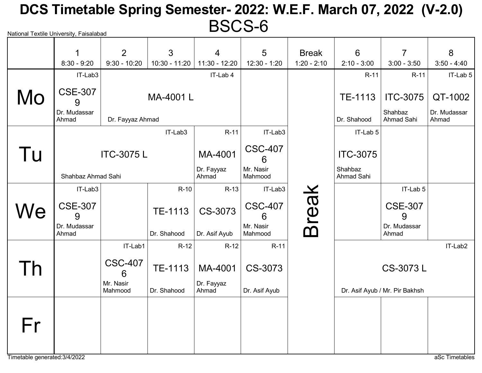# National Textile University, Faisalabad DCS Timetable Spring Semester- 2022: W.E.F. March 07, 2022 (V-2.0) BSCS-6

|    | 1<br>$8:30 - 9:20$    | 2<br>$9:30 - 10:20$  | $\mathbf{3}$<br>$10:30 - 11:20$ | $\overline{4}$<br>$11:30 - 12:20$ | 5<br>$12:30 - 1:20$  | <b>Break</b><br>$1:20 - 2:10$ | 6<br>$2:10 - 3:00$    | $\overline{7}$<br>$3:00 - 3:50$ | 8<br>$3:50 - 4:40$    |
|----|-----------------------|----------------------|---------------------------------|-----------------------------------|----------------------|-------------------------------|-----------------------|---------------------------------|-----------------------|
|    | IT-Lab3               |                      |                                 | IT-Lab 4                          |                      |                               | $R-11$                | $R-11$                          | $IT-Lab 5$            |
| Mo | <b>CSE-307</b><br>9   |                      | MA-4001L                        |                                   |                      |                               | TE-1113               | <b>ITC-3075</b>                 | QT-1002               |
|    | Dr. Mudassar<br>Ahmad | Dr. Fayyaz Ahmad     |                                 |                                   |                      |                               | Dr. Shahood           | Shahbaz<br><b>Ahmad Sahi</b>    | Dr. Mudassar<br>Ahmad |
|    |                       |                      | IT-Lab3                         | $R-11$                            | IT-Lab3              |                               | IT-Lab 5              |                                 |                       |
| Tu | <b>ITC-3075 L</b>     |                      |                                 | MA-4001                           | <b>CSC-407</b><br>6  |                               | <b>ITC-3075</b>       |                                 |                       |
|    | Shahbaz Ahmad Sahi    |                      |                                 | Dr. Fayyaz<br>Ahmad               | Mr. Nasir<br>Mahmood |                               | Shahbaz<br>Ahmad Sahi |                                 |                       |
|    | IT-Lab3               |                      | $R-10$                          | $R-13$                            | IT-Lab3              |                               |                       | IT-Lab 5                        |                       |
| We | <b>CSE-307</b><br>9   |                      | TE-1113                         | CS-3073                           | <b>CSC-407</b><br>6  | <b>Break</b>                  |                       | <b>CSE-307</b><br>9             |                       |
|    | Dr. Mudassar<br>Ahmad |                      | Dr. Shahood                     | Dr. Asif Ayub                     | Mr. Nasir<br>Mahmood |                               |                       | Dr. Mudassar<br>Ahmad           |                       |
|    |                       | IT-Lab1              | $R-12$                          | $R-12$                            | $R-11$               |                               |                       |                                 | IT-Lab2               |
| Γh |                       | <b>CSC-407</b><br>6  | TE-1113                         | MA-4001                           | CS-3073              |                               |                       | CS-3073L                        |                       |
|    |                       | Mr. Nasir<br>Mahmood | Dr. Shahood                     | Dr. Fayyaz<br>Ahmad               | Dr. Asif Ayub        |                               |                       | Dr. Asif Ayub / Mr. Pir Bakhsh  |                       |
|    |                       |                      |                                 |                                   |                      |                               |                       |                                 |                       |
| Fr |                       |                      |                                 |                                   |                      |                               |                       |                                 |                       |
|    |                       |                      |                                 |                                   |                      |                               |                       |                                 |                       |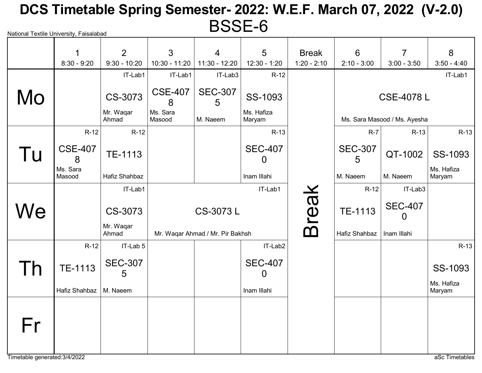# National Textile University, Faisalabad DCS Timetable Spring Semester- 2022: W.E.F. March 07, 2022 (V-2.0) BSSE-6

|    | 1                        | $\overline{2}$      | 3                   | $\overline{4}$                   | 5                    | <b>Break</b>  | 6                   | $\overline{7}$               | 8                    |
|----|--------------------------|---------------------|---------------------|----------------------------------|----------------------|---------------|---------------------|------------------------------|----------------------|
|    | $8:30 - 9:20$            | $9:30 - 10:20$      | 10:30 - 11:20       | 11:30 - 12:20                    | $12:30 - 1:20$       | $1:20 - 2:10$ | $2:10 - 3:00$       | $3:00 - 3:50$                | $3:50 - 4:40$        |
|    |                          | IT-Lab1             | IT-Lab1             | IT-Lab3                          | $R-12$               |               |                     |                              | IT-Lab1              |
| Mo |                          | CS-3073             | <b>CSE-407</b><br>8 | <b>SEC-307</b><br>5              | SS-1093              |               |                     | <b>CSE-4078 L</b>            |                      |
|    |                          | Mr. Waqar<br>Ahmad  | Ms. Sara<br>Masood  | M. Naeem                         | Ms. Hafiza<br>Maryam |               |                     | Ms. Sara Masood / Ms. Ayesha |                      |
|    | $R-12$                   | $R-12$              |                     |                                  | R-13                 |               | $R-7$               | $R-13$                       | $R-13$               |
| Tu | <b>CSE-407</b><br>8      | TE-1113             |                     |                                  | <b>SEC-407</b><br>0  |               | <b>SEC-307</b><br>5 | QT-1002                      | SS-1093              |
|    | Ms. Sara<br>Masood       | Hafiz Shahbaz       |                     |                                  | Inam Illahi          |               | M. Naeem            | M. Naeem                     | Ms. Hafiza<br>Maryam |
|    |                          | IT-Lab1             |                     |                                  | IT-Lab1              |               | $R-12$              | IT-Lab3                      |                      |
| We |                          | CS-3073             |                     | CS-3073 L                        |                      | <b>Break</b>  | TE-1113             | <b>SEC-407</b><br>$\Omega$   |                      |
|    |                          | Mr. Waqar<br>Ahmad  |                     | Mr. Waqar Ahmad / Mr. Pir Bakhsh |                      |               | Hafiz Shahbaz       | Inam Illahi                  |                      |
|    | $R-12$                   | IT-Lab 5            |                     |                                  | IT-Lab2              |               |                     |                              | $R-13$               |
|    | TE-1113                  | <b>SEC-307</b><br>5 |                     |                                  | <b>SEC-407</b><br>0  |               |                     |                              | SS-1093              |
|    | Hafiz Shahbaz   M. Naeem |                     |                     |                                  | Inam Illahi          |               |                     |                              | Ms. Hafiza<br>Maryam |
| Fr |                          |                     |                     |                                  |                      |               |                     |                              |                      |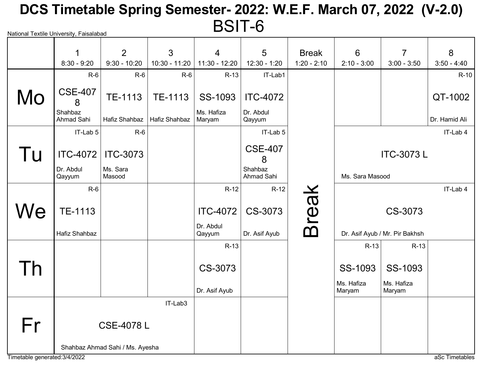# National Textile University, Faisalabad DCS Timetable Spring Semester- 2022: W.E.F. March 07, 2022 (V-2.0) BSIT-6

|    | 1<br>$8:30 - 9:20$    | $\overline{2}$<br>$9:30 - 10:20$ | 3<br>10:30 - 11:20 | $\overline{4}$<br>11:30 - 12:20 | 5<br>12:30 - 1:20     | <b>Break</b><br>$1:20 - 2:10$ | 6<br>$2:10 - 3:00$   | $\overline{7}$<br>$3:00 - 3:50$ | 8<br>$3:50 - 4:40$ |
|----|-----------------------|----------------------------------|--------------------|---------------------------------|-----------------------|-------------------------------|----------------------|---------------------------------|--------------------|
|    | $R-6$                 | $R-6$                            | $R-6$              | $R-13$                          | IT-Lab1               |                               |                      |                                 | $R-10$             |
|    |                       |                                  |                    |                                 |                       |                               |                      |                                 |                    |
| Mo | <b>CSE-407</b><br>8   | TE-1113                          | TE-1113            | SS-1093                         | <b>ITC-4072</b>       |                               |                      |                                 | QT-1002            |
|    | Shahbaz<br>Ahmad Sahi | Hafiz Shahbaz                    | Hafiz Shahbaz      | Ms. Hafiza<br>Maryam            | Dr. Abdul<br>Qayyum   |                               |                      |                                 | Dr. Hamid Ali      |
|    | IT-Lab 5              | $R-6$                            |                    |                                 | IT-Lab 5              |                               |                      |                                 | IT-Lab 4           |
| Tu | ITC-4072              | <b>ITC-3073</b>                  |                    |                                 | <b>CSE-407</b><br>8   |                               |                      | <b>ITC-3073L</b>                |                    |
|    | Dr. Abdul<br>Qayyum   | Ms. Sara<br>Masood               |                    |                                 | Shahbaz<br>Ahmad Sahi |                               | Ms. Sara Masood      |                                 |                    |
|    | $R-6$                 |                                  |                    | $R-12$                          | $R-12$                |                               |                      |                                 | IT-Lab 4           |
| We | <b>TE-1113</b>        |                                  |                    | <b>ITC-4072</b><br>Dr. Abdul    | CS-3073               | <b>Break</b>                  |                      | CS-3073                         |                    |
|    | Hafiz Shahbaz         |                                  |                    | Qayyum                          | Dr. Asif Ayub         |                               |                      | Dr. Asif Ayub / Mr. Pir Bakhsh  |                    |
|    |                       |                                  |                    | $R-13$                          |                       |                               | $R-13$               | $R-13$                          |                    |
| Γh |                       |                                  |                    | CS-3073                         |                       |                               | SS-1093              | SS-1093                         |                    |
|    |                       |                                  |                    | Dr. Asif Ayub                   |                       |                               | Ms. Hafiza<br>Maryam | Ms. Hafiza<br>Maryam            |                    |
|    |                       |                                  | IT-Lab3            |                                 |                       |                               |                      |                                 |                    |
| Fr | <b>CSE-4078L</b>      |                                  |                    |                                 |                       |                               |                      |                                 |                    |
|    |                       | Shahbaz Ahmad Sahi / Ms. Ayesha  |                    |                                 |                       |                               |                      |                                 |                    |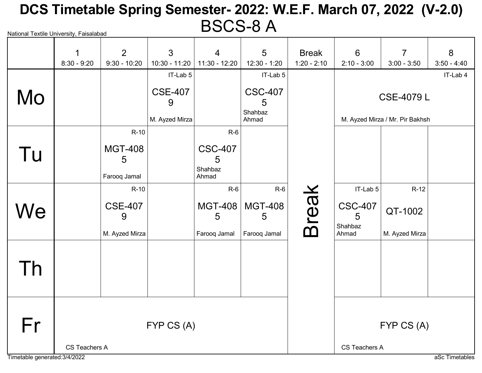### National Textile University, Faisalabad DCS Timetable Spring Semester- 2022: W.E.F. March 07, 2022 (V-2.0) BSCS-8 A

|                               | 1             | $\overline{2}$      | $\mathfrak{S}$      | $\overline{4}$        | 5                              | <b>Break</b>                    | 6                   | $\overline{7}$                  | 8             |
|-------------------------------|---------------|---------------------|---------------------|-----------------------|--------------------------------|---------------------------------|---------------------|---------------------------------|---------------|
|                               | $8:30 - 9:20$ | $9:30 - 10:20$      | 10:30 - 11:20       | 11:30 - 12:20         | 12:30 - 1:20                   | $1:20 - 2:10$                   | $2:10 - 3:00$       | $3:00 - 3:50$                   | $3:50 - 4:40$ |
|                               |               |                     | IT-Lab 5            |                       | IT-Lab 5                       |                                 |                     |                                 | IT-Lab 4      |
| Mo                            |               |                     | <b>CSE-407</b><br>9 |                       | <b>CSC-407</b><br>5<br>Shahbaz |                                 |                     | <b>CSE-4079 L</b>               |               |
|                               |               |                     | M. Ayzed Mirza      |                       | Ahmad                          |                                 |                     | M. Ayzed Mirza / Mr. Pir Bakhsh |               |
|                               |               | $R-10$              |                     | $R-6$                 |                                |                                 |                     |                                 |               |
| Tu                            |               | <b>MGT-408</b>      |                     | <b>CSC-407</b>        |                                |                                 |                     |                                 |               |
|                               |               | 5<br>Farooq Jamal   |                     | 5<br>Shahbaz<br>Ahmad |                                |                                 |                     |                                 |               |
|                               |               | $R-10$              |                     | $R-6$                 | $R-6$                          |                                 | IT-Lab 5            | $R-12$                          |               |
| We                            |               | <b>CSE-407</b><br>9 |                     | <b>MGT-408</b><br>5   | <b>MGT-408</b><br>5            | <b>Break</b>                    | <b>CSC-407</b><br>5 | QT-1002                         |               |
|                               |               | M. Ayzed Mirza      |                     | Farooq Jamal          | Farooq Jamal                   |                                 | Shahbaz<br>Ahmad    | M. Ayzed Mirza                  |               |
|                               |               |                     |                     |                       |                                |                                 |                     |                                 |               |
| Th                            |               |                     |                     |                       |                                |                                 |                     |                                 |               |
|                               |               |                     |                     |                       |                                |                                 |                     |                                 |               |
|                               |               |                     |                     |                       |                                |                                 |                     |                                 |               |
| Fr                            |               |                     | FYP CS (A)          |                       |                                | FYP CS (A)                      |                     |                                 |               |
| Timetable generated: 3/4/2022 | CS Teachers A |                     |                     |                       |                                | CS Teachers A<br>aSc Timetables |                     |                                 |               |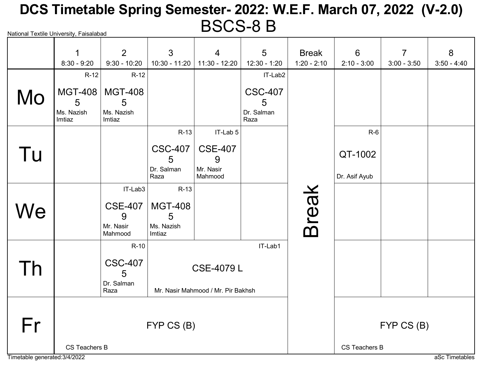# National Textile University, Faisalabad DCS Timetable Spring Semester- 2022: W.E.F. March 07, 2022 (V-2.0) BSCS-8 B

|    | 1                                    | 2                                           | 3                                           | $\overline{4}$                                          | 5                                         | <b>Break</b>  | 6                        | $\overline{7}$ | 8             |
|----|--------------------------------------|---------------------------------------------|---------------------------------------------|---------------------------------------------------------|-------------------------------------------|---------------|--------------------------|----------------|---------------|
|    | $8:30 - 9:20$                        | $9:30 - 10:20$                              | $10:30 - 11:20$                             | 11:30 - 12:20                                           | 12:30 - 1:20                              | $1:20 - 2:10$ | $2:10 - 3:00$            | $3:00 - 3:50$  | $3:50 - 4:40$ |
|    | $R-12$                               | $R-12$                                      |                                             |                                                         | IT-Lab2                                   |               |                          |                |               |
| Mo | MGT-408<br>5<br>Ms. Nazish<br>Imtiaz | <b>MGT-408</b><br>5<br>Ms. Nazish<br>Imtiaz |                                             |                                                         | <b>CSC-407</b><br>5<br>Dr. Salman<br>Raza |               |                          |                |               |
|    |                                      |                                             | $R-13$                                      | IT-Lab 5                                                |                                           |               | $R-6$                    |                |               |
| Tu |                                      |                                             | <b>CSC-407</b><br>5<br>Dr. Salman<br>Raza   | <b>CSE-407</b><br>9<br>Mr. Nasir<br>Mahmood             |                                           |               | QT-1002<br>Dr. Asif Ayub |                |               |
|    |                                      | IT-Lab3                                     | $R-13$                                      |                                                         |                                           |               |                          |                |               |
| We |                                      | <b>CSE-407</b><br>9<br>Mr. Nasir<br>Mahmood | <b>MGT-408</b><br>5<br>Ms. Nazish<br>Imtiaz |                                                         |                                           | <b>Break</b>  |                          |                |               |
|    |                                      | $R-10$                                      |                                             |                                                         | IT-Lab1                                   |               |                          |                |               |
| Τh |                                      | <b>CSC-407</b><br>5<br>Dr. Salman<br>Raza   |                                             | <b>CSE-4079 L</b><br>Mr. Nasir Mahmood / Mr. Pir Bakhsh |                                           |               |                          |                |               |
| Fr | FYP CS (B)                           |                                             |                                             |                                                         |                                           |               |                          | FYP CS (B)     |               |
|    | CS Teachers B                        |                                             |                                             |                                                         |                                           | CS Teachers B |                          |                |               |

Timetable generated:3/4/2022 and a set of the state of the state of the state of the state of the state of the state of the state of the state of the state of the state of the state of the state of the state of the state o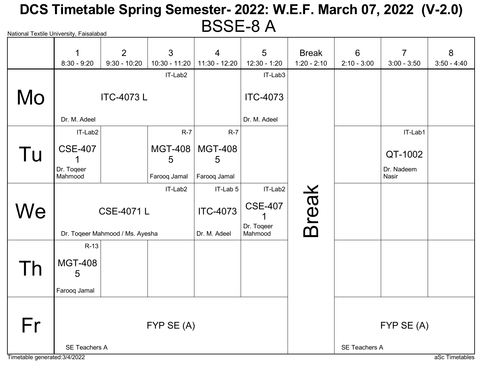# National Textile University, Faisalabad DCS Timetable Spring Semester- 2022: W.E.F. March 07, 2022 (V-2.0) BSSE-8 A

|                               | 1                     | 2                               | $\mathfrak{S}$  | $\overline{4}$      | $5\phantom{.}$               | <b>Break</b>  | 6                                      | $\overline{7}$      | 8             |  |
|-------------------------------|-----------------------|---------------------------------|-----------------|---------------------|------------------------------|---------------|----------------------------------------|---------------------|---------------|--|
|                               | $8:30 - 9:20$         | $9:30 - 10:20$                  | $10:30 - 11:20$ | 11:30 - 12:20       | $12:30 - 1:20$               | $1:20 - 2:10$ | $2:10 - 3:00$                          | $3:00 - 3:50$       | $3:50 - 4:40$ |  |
|                               |                       |                                 | IT-Lab2         |                     | IT-Lab3                      |               |                                        |                     |               |  |
| Mo                            | <b>ITC-4073L</b>      |                                 |                 |                     | <b>ITC-4073</b>              |               |                                        |                     |               |  |
|                               | Dr. M. Adeel          |                                 |                 |                     | Dr. M. Adeel                 |               |                                        |                     |               |  |
|                               | IT-Lab2               |                                 | $R-7$           | $R-7$               |                              |               |                                        | IT-Lab1             |               |  |
| Tu                            | <b>CSE-407</b>        |                                 | MGT-408<br>5    | <b>MGT-408</b><br>5 |                              |               |                                        | QT-1002             |               |  |
|                               | Dr. Togeer<br>Mahmood |                                 | Farooq Jamal    | Farooq Jamal        |                              |               |                                        | Dr. Nadeem<br>Nasir |               |  |
|                               |                       |                                 | IT-Lab2         | IT-Lab 5            | IT-Lab2                      |               |                                        |                     |               |  |
| We                            |                       | <b>CSE-4071L</b>                |                 | <b>ITC-4073</b>     | <b>CSE-407</b><br>Dr. Togeer | <b>Break</b>  |                                        |                     |               |  |
|                               |                       | Dr. Toqeer Mahmood / Ms. Ayesha |                 | Dr. M. Adeel        | Mahmood                      |               |                                        |                     |               |  |
|                               | $R-13$                |                                 |                 |                     |                              |               |                                        |                     |               |  |
| I h                           | <b>MGT-408</b><br>5   |                                 |                 |                     |                              |               |                                        |                     |               |  |
|                               | Farooq Jamal          |                                 |                 |                     |                              |               |                                        |                     |               |  |
| Fr                            |                       |                                 | FYP SE (A)      |                     |                              |               |                                        | FYP SE (A)          |               |  |
| Timetable generated: 3/4/2022 | <b>SE Teachers A</b>  |                                 |                 |                     |                              |               | <b>SE Teachers A</b><br>aSc Timetables |                     |               |  |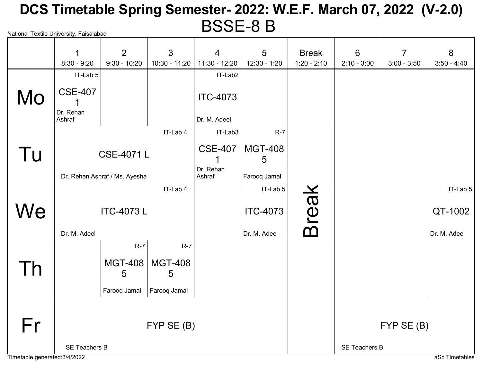# National Textile University, Faisalabad DCS Timetable Spring Semester- 2022: W.E.F. March 07, 2022 (V-2.0) BSSE-8 B

|    | $\mathbf 1$                 | 2                             | 3                   | $\overline{4}$      | 5                   | <b>Break</b>         | 6             | $\overline{7}$ | 8             |
|----|-----------------------------|-------------------------------|---------------------|---------------------|---------------------|----------------------|---------------|----------------|---------------|
|    | $8:30 - 9:20$               | $9:30 - 10:20$                | 10:30 - 11:20       | 11:30 - 12:20       | 12:30 - 1:20        | $1:20 - 2:10$        | $2:10 - 3:00$ | $3:00 - 3:50$  | $3:50 - 4:40$ |
|    | IT-Lab 5                    |                               |                     | IT-Lab2             |                     |                      |               |                |               |
| Mo | <b>CSE-407</b><br>Dr. Rehan |                               |                     | <b>ITC-4073</b>     |                     |                      |               |                |               |
|    | Ashraf                      |                               |                     | Dr. M. Adeel        |                     |                      |               |                |               |
|    |                             |                               | IT-Lab 4            | IT-Lab3             | $R-7$               |                      |               |                |               |
| Tu |                             | <b>CSE-4071L</b>              |                     | <b>CSE-407</b>      | <b>MGT-408</b><br>5 |                      |               |                |               |
|    |                             | Dr. Rehan Ashraf / Ms. Ayesha |                     | Dr. Rehan<br>Ashraf | Farooq Jamal        |                      |               |                |               |
|    |                             |                               | IT-Lab 4            |                     | IT-Lab 5            |                      |               |                | IT-Lab 5      |
| We |                             | <b>ITC-4073L</b>              |                     |                     | <b>ITC-4073</b>     | <b>Break</b>         |               |                | QT-1002       |
|    | Dr. M. Adeel                |                               |                     |                     | Dr. M. Adeel        |                      |               |                | Dr. M. Adeel  |
|    |                             | $R-7$                         | $R-7$               |                     |                     |                      |               |                |               |
| Th |                             | <b>MGT-408</b><br>5           | <b>MGT-408</b><br>5 |                     |                     |                      |               |                |               |
|    |                             | Farooq Jamal                  | Farooq Jamal        |                     |                     |                      |               |                |               |
|    |                             |                               |                     |                     |                     |                      |               |                |               |
| Fr |                             |                               | FYP SE (B)          |                     |                     |                      | FYP SE (B)    |                |               |
|    | <b>SE Teachers B</b>        |                               |                     |                     |                     | <b>SE Teachers B</b> |               |                |               |